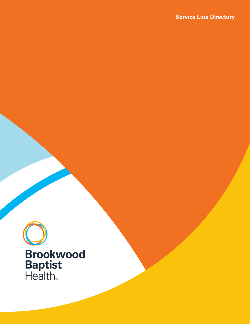**Service Line Directory** 

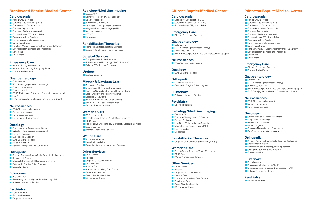# **Brookwood Baptist Medical Center**

#### **Cardiovascular**

- **Adult ECMO Services**
- **Cardiology: Stress Testing, EKG**
- **Cardiovascular Catheterization**
- **Coronary Angioplasty**
- **Coronary / Peripheral Intervention**
- **Echocardiology, TEE, Stress Echo**
- **Electrophysiology Services**
- Neuroangiography bi-plane system
- **Open-Heart Surgery**
- **Part Peripheral Vascular Diagnostic Intervention & Surgery**
- **Structural Heart Services and Procedures**
- **Valve Clinic**
- **Vein Center**

#### **Emergency Care**

- **24-Hour Emergency Services**
- **24-Hour Freestanding Emergency Room**
- **Primary Stroke Center**

#### **Gastroenterology**

- Colonoscopy
- **EGD** (Esophagogastroduodenoscopy)
- **Endoscopy Services**
- **Endoscopic US**
- **ERCP** (Endoscopic Retrograde Cholangiopancreatography)
- **HALO**
- **TIPS (Transjugular Intrahepatic Portosystemic Shunt)**

#### **Neurosciences**

- **EEG** (Electroencephalogram)
- **General Neurosurgery**
- **Neurological Services**
- **Neurosurgery/Endovascular**

## **Oncology**

- **Commission on Cancer Accreditation**
- **Cyberknife (stereostatic radiosurgery)**
- Genetic Counseling
- **Gynecologic Oncology**
- **Lung Cancer Screening**
- Nurse Navigation
- Resource Navigation and Survivorship

#### **Orthopedic**

- **Anterior Approach (HANA Table) Total Hip Replacement**
- **Arthroscopic Surgery**
- **Minimally Invasive Total Hip/Knee replacement**
- **Corthopedic Surgical Spine Program**
- Sports Medicine

## **Pulmonary**

- **Bronchoscopy**
- **Electromagnetic Navigation Bronchoscopy (ENB)**
- **Pulmonary Function Studies**

## **Psychiatry**

- **Adult Treatment**
- **Geriatric Treatment**
- **Coutpatient Programs**

**Emergency Care**  24-Hour Emergency Services

# **Radiology/Medicine Imaging**

- Cardiac CTA
- **Computer Tomography (CT) Scanner**
- **General Radiology**
- **Interventional Radiology**
- **Low Dose CT Lung Cancer Screening**
- **Magnetic Resonance Imaging (MRI)**
- **Nuclear Medicine**
- $\blacksquare$  PFT CT
- **Ultrasound**

**Neurosciences EEG** (Electroencephalogram)

**Lung Cancer Screening** 

**Corthopedic Surgical Spine Program** 

**Orthopedic Arthroscopic Surgery** 

**Psychiatry Geriatric Treatment** 

Cardiac CTA

**General Radiology** 

**Nuclear Medicine Ultrasound** 

#### **Rehabilitation Therapies**

- **Acute Rehabilitation Inpatient Services**
- **Inpatient Rehabilitation Facility Services**

#### **Surgical Services**

- **Comprehensive Bariatrics Center**
- Robotic-Assisted Technology (da Vinci System)
- Selected Weight Loss Procedure

**Other Services Home Health Hospice** 

**Respiratory Services** Sleep Disorders/Medicine **Workforce Wellness** 

DEXA Scan

**Pastoral Care** 

**Cardiology: Stress Testing, EKG Certified Chest Pain Center (CPC) Echocardiology, TEE, Stress Echo** 

- **Adult ECMO Services**
- **Cardiology: Stress Testing, EKG**
- **Cardiovascular Catheterization**
- **Certified Chest Pain Center (CPC)**
- **Coronary Angioplasty**
- **Coronary / Peripheral Intervention**
- **Echocardiology, TEE, Stress Echo**
- **Electrophysiology Services**
- Neuroangiography bi-plane system
- **Copen-Heart Surgery**
- **Peripheral Vascular Diagnostic Intervention & Surgery**
- **Structural Heart Services and Procedures**
- **Valve Clinic**
- **Vein Center**

#### **Urology**

**Urology Services** 

## **Mother & Newborn Care**

- **Antepartum Testing**
- **Childbirth and Breastfeeding Education**
- **High Risk OB Unit and Maternal Fetal Medicine**
- **Labor, Delivery, and Recovery Rooms**
- **Lactation Consultants**
- **Neonatal Intensive Care Unit (Level III)**
- **Newborn Cord Blood Donation Site**
- **Tubs for Early Water Labor**

## **Women's Care**

- **3D Mammography**
- **Breast Cancer Screening/Digital Mammograms**
- DEXA Scan
- Reproductive Endocrinology & Infertility Specialist Services
- **U**rogynecology
- **Nomen's Diagnostic Services**

#### **Wound Care**

- **Amputation Prevention**
- **Hyperbaric Medicine**
- **Outpatient Wound Management Services**

#### **Other Services**

- **Home Health**
- **Hospice**
- **Coutpatient Infusion Therapy**

Sleep Disorders/Medicine **Norkforce Wellness** 

- **Palliative Care**
- **Pastoral Care**
- **Primary and Specialty Care Centers Respiratory Services**

**Citizens Baptist Medical Center** 

**ERCP (Endoscopic Retrograde Cholangiopancreatography)** 

**Cardiovascular** 

**Gastroenterology** 

**Endoscopy Services** 

**Oncology** 

**Pulmonary** 

**Radiology/Medicine Imaging** 

Computer Tomography (CT) Scanner

**Low Dose CT Lung Cancer Screening Magnetic Resonance Imaging (MRI)** 

**Rehabilitation Therapies** 

**Women's Diagnostic Services** 

**Coutpatient Infusion Therapy** 

**Primary and Specialty Care Centers** 

**Outpatient Rehabiliation Services (PT, OT, ST)** 

**Breast Cancer Screening/Digital Mammograms** 

**Pulmonary Function Studies** 

**EGD (Esophagogastroduodenoscopy)** 

Colonoscopy

**Women's Care** 

# **Princeton Baptist Medical Center**

#### **Cardiovascular**

#### **Emergency Care**

- 24-Hour Emergency Services
- **Primary Stroke Center**

## **Gastroenterology**

- Colonoscopy
- **EGD (Esophagogastroduodenoscopy)**
- **Endoscopy Services**
- **ERCP (Endoscopic Retrograde Cholangiopancreatography)**
- **TIPS (Transjugular Intrahepatic Portosystemic Shunt)**

#### **Neurosciences**

- EEG (Electroencephalogram)
- **General Neurosurgery**
- **Neurological Services**

## **Oncology**

- **Commission on Cancer Accreditation**
- **Lung Cancer Screening**
- **NAPBC**\* Accreditation
- **Nurse Navigation**
- Resource Navigation and Survivorship
- **TrueBeam (stereotactic radiosurgery)**

# **Orthopedic**

- **Anterior Approach (HANA Table) Total Hip Replacement**
- **Arthroscopic Surgery**
- **Minimally Invasive Total Hip/Knee replacement**
- **Corthopedic Surgical Spine Program**
- Sports Medicine

#### **Pulmonary**

- **Bronchoscopy**
- **Endobronchial Ultrasound (EBUS)**
- **Electromagnetic Navigation Bronchoscopy (ENB)**
- **Pulmonary Function Studies**

## **Psychiatry**

**Geriatric Treatment**